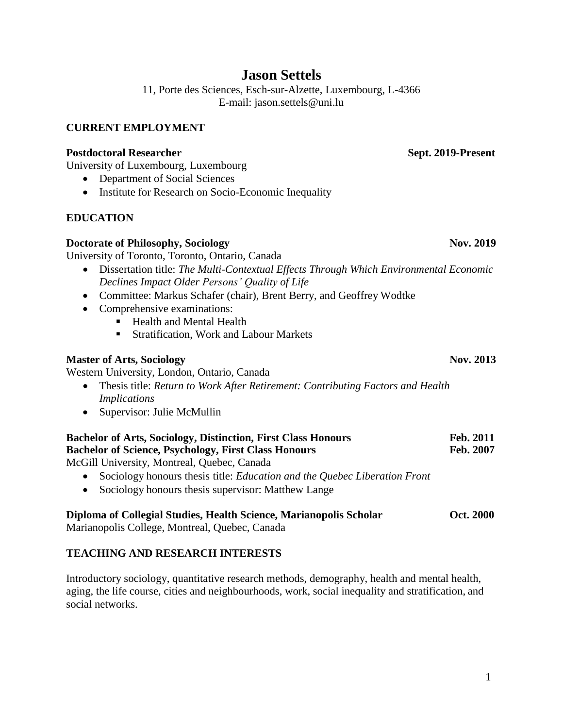## **Jason Settels**

11, Porte des Sciences, Esch-sur-Alzette, Luxembourg, L-4366 E-mail: [jason.settels@uni.lu](mailto:jason.settels@uni.lu)

#### **CURRENT EMPLOYMENT**

#### **Postdoctoral Researcher Sept. 2019-Present**

University of Luxembourg, Luxembourg

- Department of Social Sciences
- Institute for Research on Socio-Economic Inequality

## **EDUCATION**

#### **Doctorate** of Philosophy, Sociology **Nov. 2019**

University of Toronto, Toronto, Ontario, Canada

- Dissertation title: *The Multi-Contextual Effects Through Which Environmental Economic Declines Impact Older Persons' Quality of Life*
- Committee: Markus Schafer (chair), Brent Berry, and Geoffrey Wodtke
- Comprehensive examinations:
	- Health and Mental Health
	- Stratification, Work and Labour Markets

## **Master** of Arts, Sociology **Nov.** 2013

Western University, London, Ontario, Canada

- Thesis title: *Return to Work After Retirement: Contributing Factors and Health Implications*
- Supervisor: Julie McMullin

| <b>Bachelor of Arts, Sociology, Distinction, First Class Honours</b>                                                                   | <b>Feb. 2011</b> |
|----------------------------------------------------------------------------------------------------------------------------------------|------------------|
| <b>Bachelor of Science, Psychology, First Class Honours</b>                                                                            | Feb. 2007        |
| $M_{\odot}$ $C_{\odot}^{11}$ U <sub>1</sub> , $\ldots$ , $\ldots$ $M_{\odot}$ at $\ldots$ $\Omega_{\odot}$ , $\ldots$ $\Omega_{\odot}$ |                  |

McGill University, Montreal, Quebec, Canada

- Sociology honours thesis title: *Education and the Quebec Liberation Front*
- Sociology honours thesis supervisor: Matthew Lange

# **Diploma of Collegial Studies, Health Science, Marianopolis Scholar Oct. 2000**

Marianopolis College, Montreal, Quebec, Canada

## **TEACHING AND RESEARCH INTERESTS**

Introductory sociology, quantitative research methods, demography, health and mental health, aging, the life course, cities and neighbourhoods, work, social inequality and stratification, and social networks.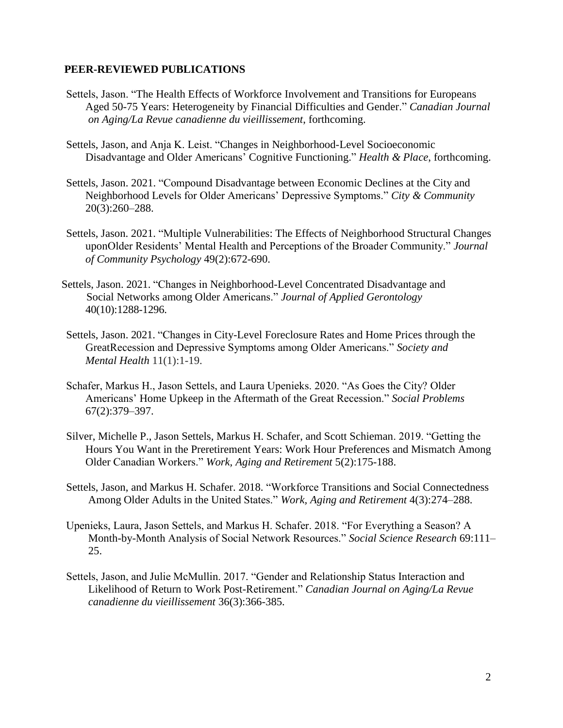#### **PEER-REVIEWED PUBLICATIONS**

- Settels, Jason. "The Health Effects of Workforce Involvement and Transitions for Europeans Aged 50-75 Years: Heterogeneity by Financial Difficulties and Gender." *Canadian Journal on Aging/La Revue canadienne du vieillissement*, forthcoming.
- Settels, Jason, and Anja K. Leist. "Changes in Neighborhood-Level Socioeconomic Disadvantage and Older Americans' Cognitive Functioning." *Health & Place*, forthcoming.
- Settels, Jason. 2021. "Compound Disadvantage between Economic Declines at the City and Neighborhood Levels for Older Americans' Depressive Symptoms." *City & Community* 20(3):260–288.
- Settels, Jason. 2021. "Multiple Vulnerabilities: The Effects of Neighborhood Structural Changes uponOlder Residents' Mental Health and Perceptions of the Broader Community." *Journal of Community Psychology* 49(2):672-690.
- Settels, Jason. 2021. "Changes in Neighborhood-Level Concentrated Disadvantage and Social Networks among Older Americans." *Journal of Applied Gerontology* 40(10):1288-1296.
- Settels, Jason. 2021. "Changes in City-Level Foreclosure Rates and Home Prices through the GreatRecession and Depressive Symptoms among Older Americans." *Society and Mental Health* 11(1):1-19.
- Schafer, Markus H., Jason Settels, and Laura Upenieks. 2020. "As Goes the City? Older Americans' Home Upkeep in the Aftermath of the Great Recession." *Social Problems* 67(2):379–397.
- Silver, Michelle P., Jason Settels, Markus H. Schafer, and Scott Schieman. 2019. "Getting the Hours You Want in the Preretirement Years: Work Hour Preferences and Mismatch Among Older Canadian Workers." *Work, Aging and Retirement* 5(2):175-188.
- Settels, Jason, and Markus H. Schafer. 2018. "Workforce Transitions and Social Connectedness Among Older Adults in the United States." *Work, Aging and Retirement* 4(3):274–288.
- Upenieks, Laura, Jason Settels, and Markus H. Schafer. 2018. "For Everything a Season? A Month-by-Month Analysis of Social Network Resources." *Social Science Research* 69:111– 25.
- Settels, Jason, and Julie McMullin. 2017. "Gender and Relationship Status Interaction and Likelihood of Return to Work Post-Retirement." *Canadian Journal on Aging/La Revue canadienne du vieillissement* 36(3):366-385.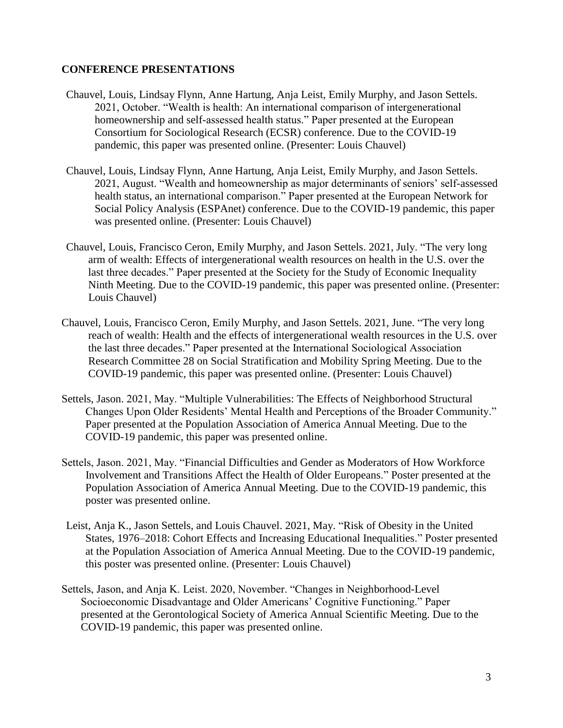#### **CONFERENCE PRESENTATIONS**

- Chauvel, Louis, Lindsay Flynn, Anne Hartung, Anja Leist, Emily Murphy, and Jason Settels. 2021, October. "Wealth is health: An international comparison of intergenerational homeownership and self-assessed health status." Paper presented at the European Consortium for Sociological Research (ECSR) conference. Due to the COVID-19 pandemic, this paper was presented online. (Presenter: Louis Chauvel)
- Chauvel, Louis, Lindsay Flynn, Anne Hartung, Anja Leist, Emily Murphy, and Jason Settels. 2021, August. "Wealth and homeownership as major determinants of seniors' self-assessed health status, an international comparison." Paper presented at the European Network for Social Policy Analysis (ESPAnet) conference. Due to the COVID-19 pandemic, this paper was presented online. (Presenter: Louis Chauvel)
- Chauvel, Louis, Francisco Ceron, Emily Murphy, and Jason Settels. 2021, July. "The very long arm of wealth: Effects of intergenerational wealth resources on health in the U.S. over the last three decades." Paper presented at the Society for the Study of Economic Inequality Ninth Meeting. Due to the COVID-19 pandemic, this paper was presented online. (Presenter: Louis Chauvel)
- Chauvel, Louis, Francisco Ceron, Emily Murphy, and Jason Settels. 2021, June. "The very long reach of wealth: Health and the effects of intergenerational wealth resources in the U.S. over the last three decades." Paper presented at the International Sociological Association Research Committee 28 on Social Stratification and Mobility Spring Meeting. Due to the COVID-19 pandemic, this paper was presented online. (Presenter: Louis Chauvel)
- Settels, Jason. 2021, May. "Multiple Vulnerabilities: The Effects of Neighborhood Structural Changes Upon Older Residents' Mental Health and Perceptions of the Broader Community." Paper presented at the Population Association of America Annual Meeting. Due to the COVID-19 pandemic, this paper was presented online.
- Settels, Jason. 2021, May. "Financial Difficulties and Gender as Moderators of How Workforce Involvement and Transitions Affect the Health of Older Europeans." Poster presented at the Population Association of America Annual Meeting. Due to the COVID-19 pandemic, this poster was presented online.
- Leist, Anja K., Jason Settels, and Louis Chauvel. 2021, May. "Risk of Obesity in the United States, 1976–2018: Cohort Effects and Increasing Educational Inequalities." Poster presented at the Population Association of America Annual Meeting. Due to the COVID-19 pandemic, this poster was presented online. (Presenter: Louis Chauvel)
- Settels, Jason, and Anja K. Leist. 2020, November. "Changes in Neighborhood-Level Socioeconomic Disadvantage and Older Americans' Cognitive Functioning." Paper presented at the Gerontological Society of America Annual Scientific Meeting. Due to the COVID-19 pandemic, this paper was presented online.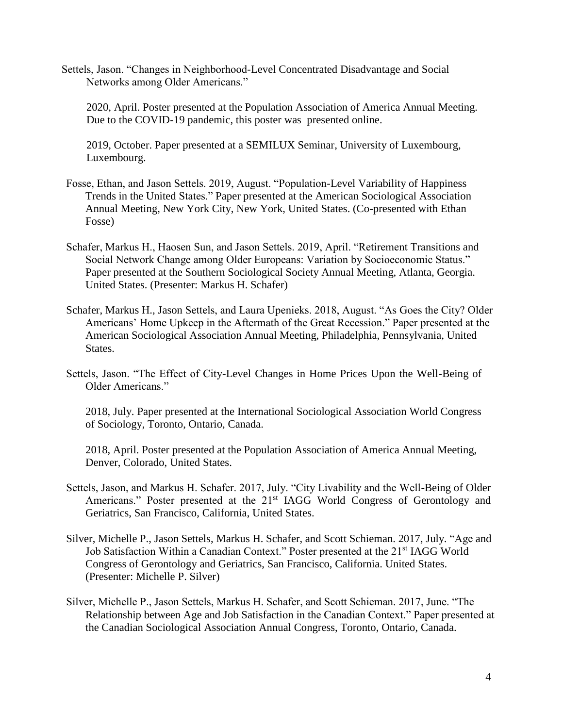Settels, Jason. "Changes in Neighborhood-Level Concentrated Disadvantage and Social Networks among Older Americans."

 2020, April. Poster presented at the Population Association of America Annual Meeting. Due to the COVID-19 pandemic, this poster was presented online.

 2019, October. Paper presented at a SEMILUX Seminar, University of Luxembourg, Luxembourg.

- Fosse, Ethan, and Jason Settels. 2019, August. "Population-Level Variability of Happiness Trends in the United States." Paper presented at the American Sociological Association Annual Meeting, New York City, New York, United States. (Co-presented with Ethan Fosse)
- Schafer, Markus H., Haosen Sun, and Jason Settels. 2019, April. "Retirement Transitions and Social Network Change among Older Europeans: Variation by Socioeconomic Status." Paper presented at the Southern Sociological Society Annual Meeting, Atlanta, Georgia. United States. (Presenter: Markus H. Schafer)
- Schafer, Markus H., Jason Settels, and Laura Upenieks. 2018, August. "As Goes the City? Older Americans' Home Upkeep in the Aftermath of the Great Recession." Paper presented at the American Sociological Association Annual Meeting, Philadelphia, Pennsylvania, United States.
- Settels, Jason. "The Effect of City-Level Changes in Home Prices Upon the Well-Being of Older Americans."

2018, July. Paper presented at the International Sociological Association World Congress of Sociology, Toronto, Ontario, Canada.

2018, April. Poster presented at the Population Association of America Annual Meeting, Denver, Colorado, United States.

- Settels, Jason, and Markus H. Schafer. 2017, July. "City Livability and the Well-Being of Older Americans." Poster presented at the 21<sup>st</sup> IAGG World Congress of Gerontology and Geriatrics, San Francisco, California, United States.
- Silver, Michelle P., Jason Settels, Markus H. Schafer, and Scott Schieman. 2017, July. "Age and Job Satisfaction Within a Canadian Context." Poster presented at the 21<sup>st</sup> IAGG World Congress of Gerontology and Geriatrics, San Francisco, California. United States. (Presenter: Michelle P. Silver)
- Silver, Michelle P., Jason Settels, Markus H. Schafer, and Scott Schieman. 2017, June. "The Relationship between Age and Job Satisfaction in the Canadian Context." Paper presented at the Canadian Sociological Association Annual Congress, Toronto, Ontario, Canada.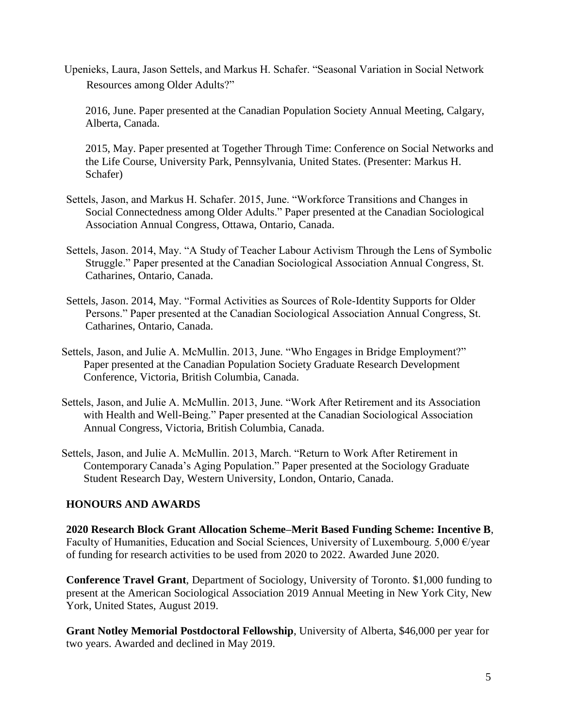Upenieks, Laura, Jason Settels, and Markus H. Schafer. "Seasonal Variation in Social Network Resources among Older Adults?"

2016, June. Paper presented at the Canadian Population Society Annual Meeting, Calgary, Alberta, Canada.

2015, May. Paper presented at Together Through Time: Conference on Social Networks and the Life Course, University Park, Pennsylvania, United States. (Presenter: Markus H. Schafer)

- Settels, Jason, and Markus H. Schafer. 2015, June. "Workforce Transitions and Changes in Social Connectedness among Older Adults." Paper presented at the Canadian Sociological Association Annual Congress, Ottawa, Ontario, Canada.
- Settels, Jason. 2014, May. "A Study of Teacher Labour Activism Through the Lens of Symbolic Struggle." Paper presented at the Canadian Sociological Association Annual Congress, St. Catharines, Ontario, Canada.
- Settels, Jason. 2014, May. "Formal Activities as Sources of Role-Identity Supports for Older Persons." Paper presented at the Canadian Sociological Association Annual Congress, St. Catharines, Ontario, Canada.
- Settels, Jason, and Julie A. McMullin. 2013, June. "Who Engages in Bridge Employment?" Paper presented at the Canadian Population Society Graduate Research Development Conference, Victoria, British Columbia, Canada.
- Settels, Jason, and Julie A. McMullin. 2013, June. "Work After Retirement and its Association with Health and Well-Being." Paper presented at the Canadian Sociological Association Annual Congress, Victoria, British Columbia, Canada.
- Settels, Jason, and Julie A. McMullin. 2013, March. "Return to Work After Retirement in Contemporary Canada's Aging Population." Paper presented at the Sociology Graduate Student Research Day, Western University, London, Ontario, Canada.

## **HONOURS AND AWARDS**

**2020 Research Block Grant Allocation Scheme–Merit Based Funding Scheme: Incentive B**, Faculty of Humanities, Education and Social Sciences, University of Luxembourg. 5,000  $\epsilon$ /year of funding for research activities to be used from 2020 to 2022. Awarded June 2020.

**Conference Travel Grant**, Department of Sociology, University of Toronto. \$1,000 funding to present at the American Sociological Association 2019 Annual Meeting in New York City, New York, United States, August 2019.

**Grant Notley Memorial Postdoctoral Fellowship**, University of Alberta, \$46,000 per year for two years. Awarded and declined in May 2019.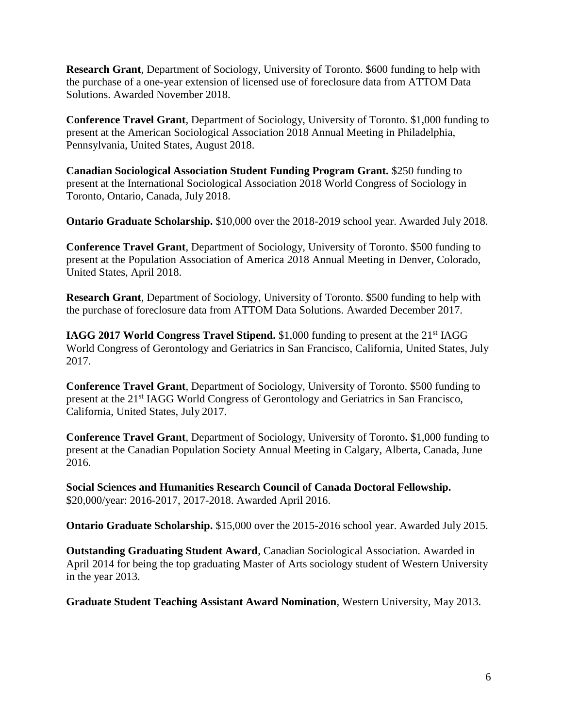**Research Grant**, Department of Sociology, University of Toronto. \$600 funding to help with the purchase of a one-year extension of licensed use of foreclosure data from ATTOM Data Solutions. Awarded November 2018.

**Conference Travel Grant**, Department of Sociology, University of Toronto. \$1,000 funding to present at the American Sociological Association 2018 Annual Meeting in Philadelphia, Pennsylvania, United States, August 2018.

**Canadian Sociological Association Student Funding Program Grant.** \$250 funding to present at the International Sociological Association 2018 World Congress of Sociology in Toronto, Ontario, Canada, July 2018.

**Ontario Graduate Scholarship.** \$10,000 over the 2018-2019 school year. Awarded July 2018.

**Conference Travel Grant**, Department of Sociology, University of Toronto. \$500 funding to present at the Population Association of America 2018 Annual Meeting in Denver, Colorado, United States, April 2018.

**Research Grant**, Department of Sociology, University of Toronto. \$500 funding to help with the purchase of foreclosure data from ATTOM Data Solutions. Awarded December 2017.

**IAGG 2017 World Congress Travel Stipend.** \$1,000 funding to present at the 21<sup>st</sup> IAGG World Congress of Gerontology and Geriatrics in San Francisco, California, United States, July 2017.

**Conference Travel Grant**, Department of Sociology, University of Toronto. \$500 funding to present at the 21st IAGG World Congress of Gerontology and Geriatrics in San Francisco, California, United States, July 2017.

**Conference Travel Grant**, Department of Sociology, University of Toronto**.** \$1,000 funding to present at the Canadian Population Society Annual Meeting in Calgary, Alberta, Canada, June 2016.

**Social Sciences and Humanities Research Council of Canada Doctoral Fellowship.** \$20,000/year: 2016-2017, 2017-2018. Awarded April 2016.

**Ontario Graduate Scholarship.** \$15,000 over the 2015-2016 school year. Awarded July 2015.

**Outstanding Graduating Student Award**, Canadian Sociological Association. Awarded in April 2014 for being the top graduating Master of Arts sociology student of Western University in the year 2013.

**Graduate Student Teaching Assistant Award Nomination**, Western University, May 2013.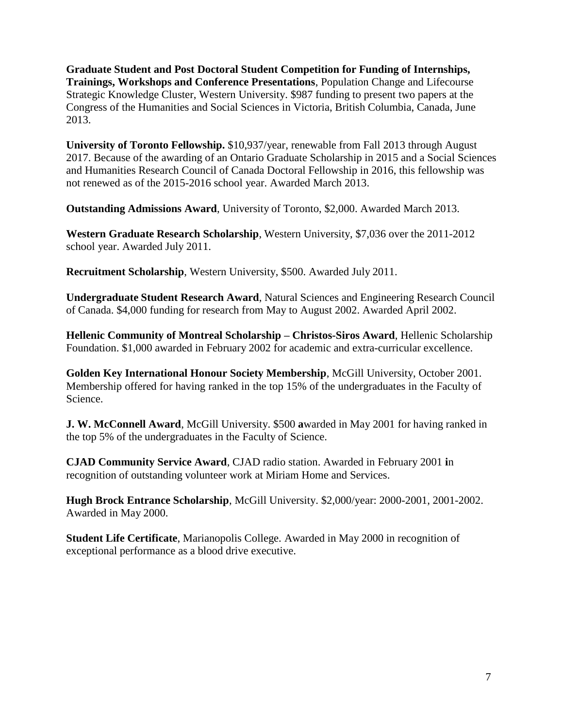**Graduate Student and Post Doctoral Student Competition for Funding of Internships, Trainings, Workshops and Conference Presentations**, Population Change and Lifecourse Strategic Knowledge Cluster, Western University. \$987 funding to present two papers at the Congress of the Humanities and Social Sciences in Victoria, British Columbia, Canada, June 2013.

**University of Toronto Fellowship.** \$10,937/year, renewable from Fall 2013 through August 2017. Because of the awarding of an Ontario Graduate Scholarship in 2015 and a Social Sciences and Humanities Research Council of Canada Doctoral Fellowship in 2016, this fellowship was not renewed as of the 2015-2016 school year. Awarded March 2013.

**Outstanding Admissions Award**, University of Toronto, \$2,000. Awarded March 2013.

**Western Graduate Research Scholarship**, Western University, \$7,036 over the 2011-2012 school year. Awarded July 2011.

**Recruitment Scholarship**, Western University, \$500. Awarded July 2011.

**Undergraduate Student Research Award**, Natural Sciences and Engineering Research Council of Canada. \$4,000 funding for research from May to August 2002. Awarded April 2002.

**Hellenic Community of Montreal Scholarship – Christos-Siros Award**, Hellenic Scholarship Foundation. \$1,000 awarded in February 2002 for academic and extra-curricular excellence.

**Golden Key International Honour Society Membership**, McGill University, October 2001. Membership offered for having ranked in the top 15% of the undergraduates in the Faculty of Science.

**J. W. McConnell Award**, McGill University. \$500 **a**warded in May 2001 for having ranked in the top 5% of the undergraduates in the Faculty of Science.

**CJAD Community Service Award**, CJAD radio station. Awarded in February 2001 **i**n recognition of outstanding volunteer work at Miriam Home and Services.

**Hugh Brock Entrance Scholarship**, McGill University. \$2,000/year: 2000-2001, 2001-2002. Awarded in May 2000.

**Student Life Certificate**, Marianopolis College. Awarded in May 2000 in recognition of exceptional performance as a blood drive executive.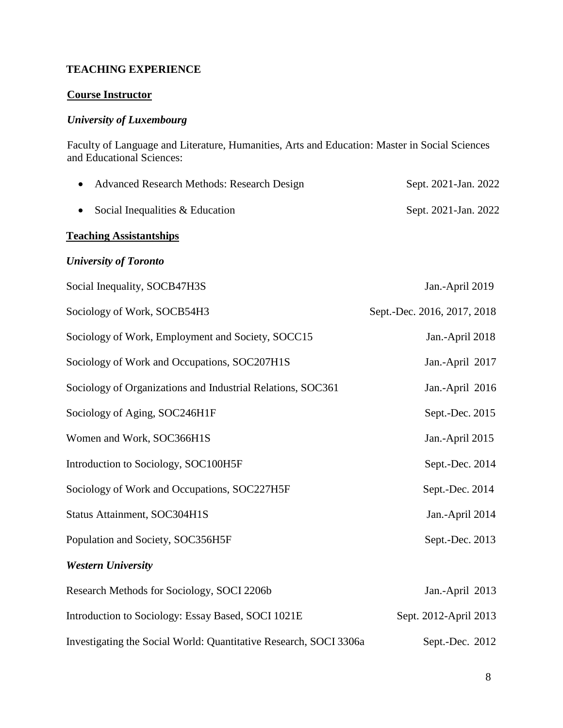#### **TEACHING EXPERIENCE**

## **Course Instructor**

## *University of Luxembourg*

 Faculty of Language and Literature, Humanities, Arts and Education: Master in Social Sciences and Educational Sciences:

| • Advanced Research Methods: Research Design | Sept. 2021-Jan. 2022 |  |
|----------------------------------------------|----------------------|--|
| • Social Inequalities $& Education$          | Sept. 2021-Jan. 2022 |  |

#### **Teaching Assistantships**

## *University of Toronto*

| Social Inequality, SOCB47H3S                                      | Jan.-April 2019             |
|-------------------------------------------------------------------|-----------------------------|
| Sociology of Work, SOCB54H3                                       | Sept.-Dec. 2016, 2017, 2018 |
| Sociology of Work, Employment and Society, SOCC15                 | Jan.-April 2018             |
| Sociology of Work and Occupations, SOC207H1S                      | Jan.-April 2017             |
| Sociology of Organizations and Industrial Relations, SOC361       | Jan.-April 2016             |
| Sociology of Aging, SOC246H1F                                     | Sept.-Dec. 2015             |
| Women and Work, SOC366H1S                                         | Jan.-April 2015             |
| Introduction to Sociology, SOC100H5F                              | Sept.-Dec. 2014             |
| Sociology of Work and Occupations, SOC227H5F                      | Sept.-Dec. 2014             |
| Status Attainment, SOC304H1S                                      | Jan.-April 2014             |
| Population and Society, SOC356H5F                                 | Sept.-Dec. 2013             |
| <b>Western University</b>                                         |                             |
| Research Methods for Sociology, SOCI 2206b                        | Jan.-April 2013             |
| Introduction to Sociology: Essay Based, SOCI 1021E                | Sept. 2012-April 2013       |
| Investigating the Social World: Quantitative Research, SOCI 3306a | Sept.-Dec. 2012             |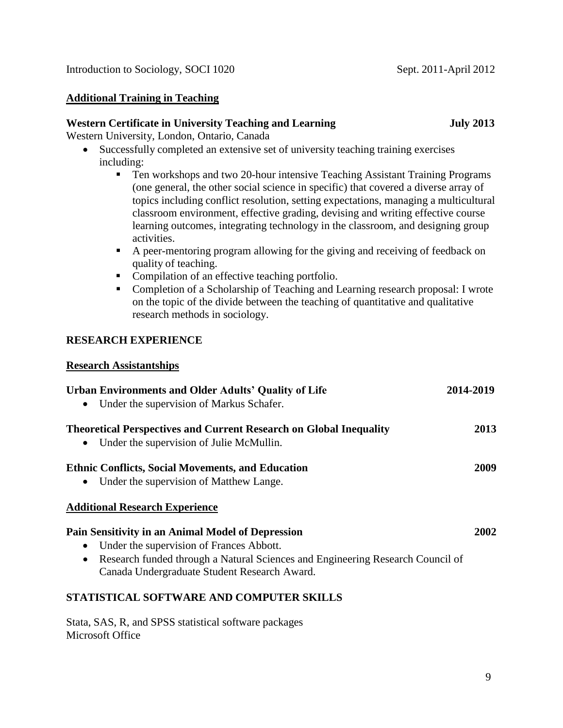#### **Additional Training in Teaching**

#### **Western Certificate in University Teaching and Learning July 2013**

Western University, London, Ontario, Canada

- Successfully completed an extensive set of university teaching training exercises including:
	- Ten workshops and two 20-hour intensive Teaching Assistant Training Programs (one general, the other social science in specific) that covered a diverse array of topics including conflict resolution, setting expectations, managing a multicultural classroom environment, effective grading, devising and writing effective course learning outcomes, integrating technology in the classroom, and designing group activities.
	- A peer-mentoring program allowing for the giving and receiving of feedback on quality of teaching.
	- Compilation of an effective teaching portfolio.
	- Completion of a Scholarship of Teaching and Learning research proposal: I wrote on the topic of the divide between the teaching of quantitative and qualitative research methods in sociology.

## **RESEARCH EXPERIENCE**

#### **Research Assistantships**

| <b>Urban Environments and Older Adults' Quality of Life</b><br>Under the supervision of Markus Schafer.<br>$\bullet$                                                                                                                                      | 2014-2019 |
|-----------------------------------------------------------------------------------------------------------------------------------------------------------------------------------------------------------------------------------------------------------|-----------|
| <b>Theoretical Perspectives and Current Research on Global Inequality</b><br>Under the supervision of Julie McMullin.<br>$\bullet$                                                                                                                        | 2013      |
| <b>Ethnic Conflicts, Social Movements, and Education</b><br>Under the supervision of Matthew Lange.<br>$\bullet$                                                                                                                                          | 2009      |
| <b>Additional Research Experience</b>                                                                                                                                                                                                                     |           |
| Pain Sensitivity in an Animal Model of Depression<br>Under the supervision of Frances Abbott.<br>$\bullet$<br>Research funded through a Natural Sciences and Engineering Research Council of<br>$\bullet$<br>Canada Undergraduate Student Research Award. | 2002      |
| STATISTICAL SOFTWARE AND COMPUTER SKILLS                                                                                                                                                                                                                  |           |
| Stata, SAS, R, and SPSS statistical software packages                                                                                                                                                                                                     |           |

Microsoft Office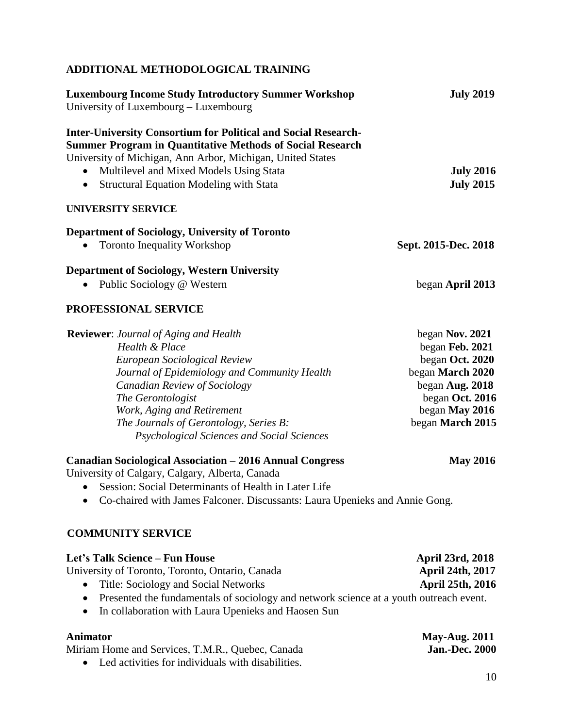## **ADDITIONAL METHODOLOGICAL TRAINING**

| <b>Luxembourg Income Study Introductory Summer Workshop</b><br>University of Luxembourg – Luxembourg                                                                                                                                                                                                                      | <b>July 2019</b>                                                                                                                                      |
|---------------------------------------------------------------------------------------------------------------------------------------------------------------------------------------------------------------------------------------------------------------------------------------------------------------------------|-------------------------------------------------------------------------------------------------------------------------------------------------------|
| <b>Inter-University Consortium for Political and Social Research-</b><br><b>Summer Program in Quantitative Methods of Social Research</b><br>University of Michigan, Ann Arbor, Michigan, United States<br>Multilevel and Mixed Models Using Stata<br><b>Structural Equation Modeling with Stata</b><br>$\bullet$         | <b>July 2016</b><br><b>July 2015</b>                                                                                                                  |
| <b>UNIVERSITY SERVICE</b>                                                                                                                                                                                                                                                                                                 |                                                                                                                                                       |
| <b>Department of Sociology, University of Toronto</b><br><b>Toronto Inequality Workshop</b>                                                                                                                                                                                                                               | Sept. 2015-Dec. 2018                                                                                                                                  |
| <b>Department of Sociology, Western University</b><br>Public Sociology @ Western                                                                                                                                                                                                                                          | began April 2013                                                                                                                                      |
| <b>PROFESSIONAL SERVICE</b>                                                                                                                                                                                                                                                                                               |                                                                                                                                                       |
| <b>Reviewer:</b> Journal of Aging and Health<br>Health & Place<br>European Sociological Review<br>Journal of Epidemiology and Community Health<br>Canadian Review of Sociology<br>The Gerontologist<br>Work, Aging and Retirement<br>The Journals of Gerontology, Series B:<br>Psychological Sciences and Social Sciences | began Nov. 2021<br>began Feb. 2021<br>began Oct. 2020<br>began March 2020<br>began Aug. 2018<br>began Oct. 2016<br>began May 2016<br>began March 2015 |
| <b>Canadian Sociological Association - 2016 Annual Congress</b><br>University of Calgary, Calgary, Alberta, Canada<br>Session: Social Determinants of Health in Later Life<br>$\bullet$<br>Co-chaired with James Falconer. Discussants: Laura Upenieks and Annie Gong.                                                    | <b>May 2016</b>                                                                                                                                       |
| <b>COMMUNITY SERVICE</b>                                                                                                                                                                                                                                                                                                  |                                                                                                                                                       |
| Let's Talk Science - Fun House<br>University of Toronto, Toronto, Ontario, Canada<br>Title: Sociology and Social Networks<br>Presented the fundamentals of sociology and network science at a youth outreach event.                                                                                                       | April 23rd, 2018<br>April 24th, 2017<br>April 25th, 2016                                                                                              |

• In collaboration with Laura Upenieks and Haosen Sun

| Animator                                            | <b>May-Aug. 2011</b>  |
|-----------------------------------------------------|-----------------------|
| Miriam Home and Services, T.M.R., Quebec, Canada    | <b>Jan.-Dec. 2000</b> |
| • Led activities for individuals with disabilities. |                       |

10